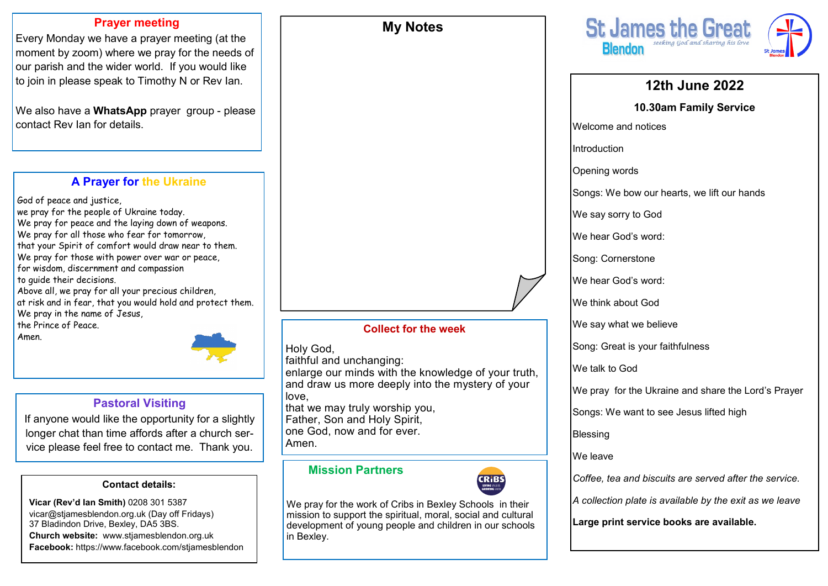#### **Prayer meeting**

Every Monday we have a prayer meeting (at the moment by zoom) where we pray for the needs of our parish and the wider world. If you would like to join in please speak to Timothy N or Rev Ian.

We also have a **WhatsApp** prayer group - please contact Rev Ian for details.

# **A Prayer for the Ukraine**

God of peace and justice, we pray for the people of Ukraine today. We pray for peace and the laying down of weapons. We pray for all those who fear for tomorrow, that your Spirit of comfort would draw near to them. We pray for those with power over war or peace, for wisdom, discernment and compassion to guide their decisions. Above all, we pray for all your precious children, at risk and in fear, that you would hold and protect them. We pray in the name of Jesus, the Prince of Peace.



# **Pastoral Visiting**

If anyone would like the opportunity for a slightly longer chat than time affords after a church service please feel free to contact me. Thank you.

#### **Contact details:**

**Vicar (Rev'd Ian Smith)** 0208 301 5387 vicar@stjamesblendon.org.uk (Day off Fridays) 37 Bladindon Drive, Bexley, DA5 3BS. **Church website:** www.stjamesblendon.org.uk **Facebook:** https://www.facebook.com/stjamesblendon **Collect for the week**

**My Notes**

#### Holy God,

faithful and unchanging:

enlarge our minds with the knowledge of your truth, and draw us more deeply into the mystery of your love, that we may truly worship you,

Father, Son and Holy Spirit,

one God, now and for ever.

Amen.

### **Mission Partners**



We pray for the work of Cribs in Bexley Schools in their mission to support the spiritual, moral, social and cultural development of young people and children in our schools in Bexley.



# **12th June 2022**

**10.30am Family Service**

Welcome and notices

Introduction

Opening words

Songs: We bow our hearts, we lift our hands

We say sorry to God

We hear God's word:

Song: Cornerstone

We hear God's word:

We think about God

We say what we believe

Song: Great is your faithfulness

We talk to God

We pray for the Ukraine and share the Lord's Prayer

Songs: We want to see Jesus lifted high

Blessing

We leave

*Coffee, tea and biscuits are served after the service.*

*A collection plate is available by the exit as we leave*

**Large print service books are available.**